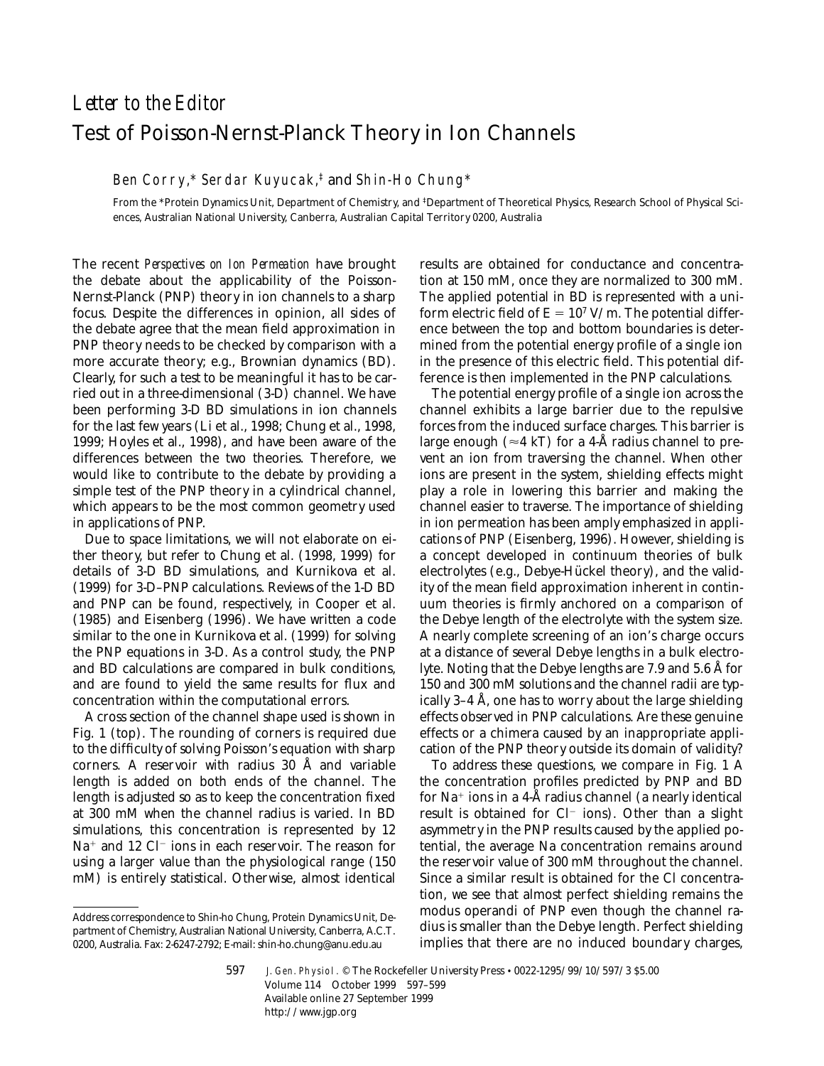## *Letter to the Editor* Test of Poisson-Nernst-Planck Theory in Ion Channels

## Ben Corry,\* Serdar Kuyucak,‡ and Shin-Ho Chung\*

From the \*Protein Dynamics Unit, Department of Chemistry, and ‡Department of Theoretical Physics, Research School of Physical Sciences, Australian National University, Canberra, Australian Capital Territory 0200, Australia

The recent *Perspectives on Ion Permeation* have brought the debate about the applicability of the Poisson-Nernst-Planck (PNP) theory in ion channels to a sharp focus. Despite the differences in opinion, all sides of the debate agree that the mean field approximation in PNP theory needs to be checked by comparison with a more accurate theory; e.g., Brownian dynamics (BD). Clearly, for such a test to be meaningful it has to be carried out in a three-dimensional (3-D) channel. We have been performing 3-D BD simulations in ion channels for the last few years (Li et al., 1998; Chung et al., 1998, 1999; Hoyles et al., 1998), and have been aware of the differences between the two theories. Therefore, we would like to contribute to the debate by providing a simple test of the PNP theory in a cylindrical channel, which appears to be the most common geometry used in applications of PNP.

Due to space limitations, we will not elaborate on either theory, but refer to Chung et al. (1998, 1999) for details of 3-D BD simulations, and Kurnikova et al. (1999) for 3-D–PNP calculations. Reviews of the 1-D BD and PNP can be found, respectively, in Cooper et al. (1985) and Eisenberg (1996). We have written a code similar to the one in Kurnikova et al. (1999) for solving the PNP equations in 3-D. As a control study, the PNP and BD calculations are compared in bulk conditions, and are found to yield the same results for flux and concentration within the computational errors.

A cross section of the channel shape used is shown in Fig. 1 (top). The rounding of corners is required due to the difficulty of solving Poisson's equation with sharp corners. A reservoir with radius 30 Å and variable length is added on both ends of the channel. The length is adjusted so as to keep the concentration fixed at 300 mM when the channel radius is varied. In BD simulations, this concentration is represented by 12  $Na<sup>+</sup>$  and 12 Cl<sup>-</sup> ions in each reservoir. The reason for using a larger value than the physiological range (150 mM) is entirely statistical. Otherwise, almost identical results are obtained for conductance and concentration at 150 mM, once they are normalized to 300 mM. The applied potential in BD is represented with a uniform electric field of  $E = 10<sup>7</sup> V/m$ . The potential difference between the top and bottom boundaries is determined from the potential energy profile of a single ion in the presence of this electric field. This potential difference is then implemented in the PNP calculations.

The potential energy profile of a single ion across the channel exhibits a large barrier due to the repulsive forces from the induced surface charges. This barrier is large enough ( $\approx$ 4 kT) for a 4-Å radius channel to prevent an ion from traversing the channel. When other ions are present in the system, shielding effects might play a role in lowering this barrier and making the channel easier to traverse. The importance of shielding in ion permeation has been amply emphasized in applications of PNP (Eisenberg, 1996). However, shielding is a concept developed in continuum theories of bulk electrolytes (e.g., Debye-Hückel theory), and the validity of the mean field approximation inherent in continuum theories is firmly anchored on a comparison of the Debye length of the electrolyte with the system size. A nearly complete screening of an ion's charge occurs at a distance of several Debye lengths in a bulk electrolyte. Noting that the Debye lengths are 7.9 and 5.6 Å for 150 and 300 mM solutions and the channel radii are typically 3–4 Å, one has to worry about the large shielding effects observed in PNP calculations. Are these genuine effects or a chimera caused by an inappropriate application of the PNP theory outside its domain of validity?

To address these questions, we compare in Fig. 1 A the concentration profiles predicted by PNP and BD for  $Na^+$  ions in a 4-Å radius channel (a nearly identical result is obtained for Cl<sup>-</sup> ions). Other than a slight asymmetry in the PNP results caused by the applied potential, the average Na concentration remains around the reservoir value of 300 mM throughout the channel. Since a similar result is obtained for the Cl concentration, we see that almost perfect shielding remains the modus operandi of PNP even though the channel radius is smaller than the Debye length. Perfect shielding implies that there are no induced boundary charges,

597 J. Gen. Physiol. © The Rockefeller University Press • 0022-1295/99/10/597/3 \$5.00 Volume 114 October 1999 597–599 Available online 27 September 1999 http://www.jgp.org

Address correspondence to Shin-ho Chung, Protein Dynamics Unit, Department of Chemistry, Australian National University, Canberra, A.C.T. 0200, Australia. Fax: 2-6247-2792; E-mail: shin-ho.chung@anu.edu.au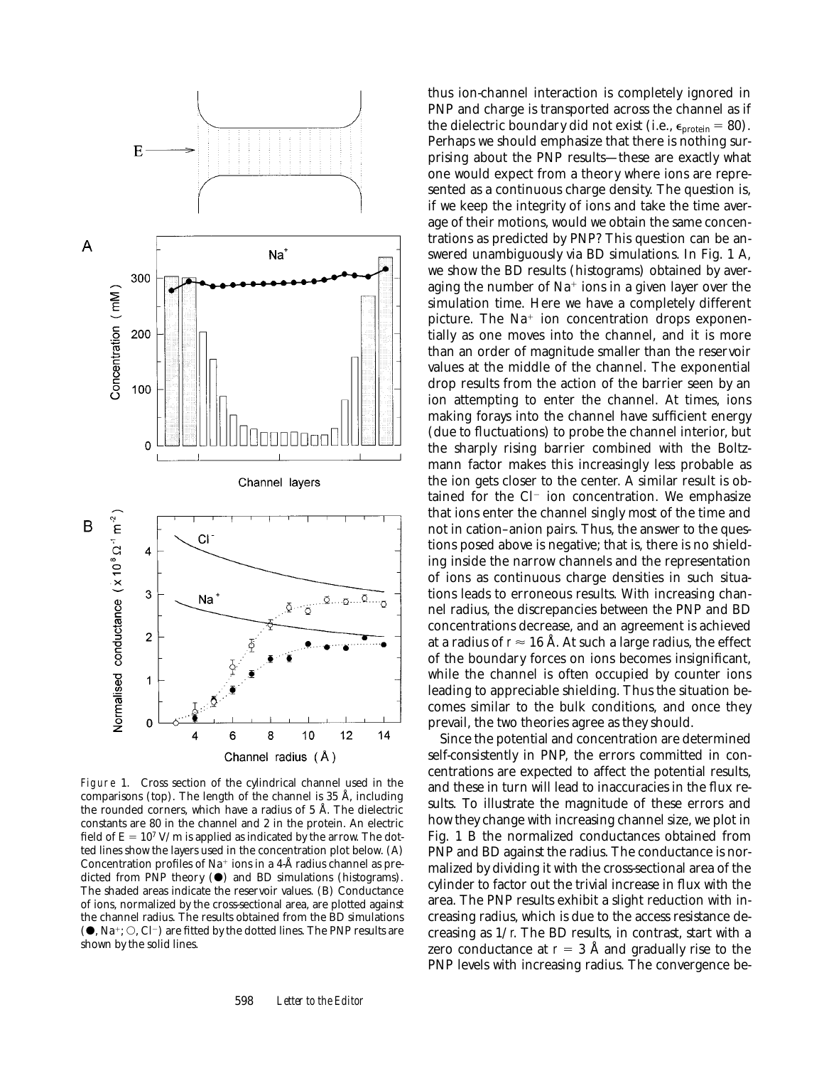

Figure 1. Cross section of the cylindrical channel used in the comparisons (top). The length of the channel is 35 Å, including the rounded corners, which have a radius of 5 Å. The dielectric constants are 80 in the channel and 2 in the protein. An electric field of  $E = 10^7$  V/m is applied as indicated by the arrow. The dotted lines show the layers used in the concentration plot below. (A) Concentration profiles of  $Na^+$  ions in a 4-Å radius channel as predicted from PNP theory  $(\bullet)$  and BD simulations (histograms). The shaded areas indicate the reservoir values. (B) Conductance of ions, normalized by the cross-sectional area, are plotted against the channel radius. The results obtained from the BD simulations  $(\bullet, Na^{\dagger}; \bigcirc, Cl^{-})$  are fitted by the dotted lines. The PNP results are shown by the solid lines.

598 *Letter to the Editor*

thus ion-channel interaction is completely ignored in PNP and charge is transported across the channel as if the dielectric boundary did not exist (i.e.,  $\epsilon_{\text{protein}} = 80$ ). Perhaps we should emphasize that there is nothing surprising about the PNP results—these are exactly what one would expect from a theory where ions are represented as a continuous charge density. The question is, if we keep the integrity of ions and take the time average of their motions, would we obtain the same concentrations as predicted by PNP? This question can be answered unambiguously via BD simulations. In Fig. 1 A, we show the BD results (histograms) obtained by averaging the number of  $Na<sup>+</sup>$  ions in a given layer over the simulation time. Here we have a completely different picture. The  $Na<sup>+</sup>$  ion concentration drops exponentially as one moves into the channel, and it is more than an order of magnitude smaller than the reservoir values at the middle of the channel. The exponential drop results from the action of the barrier seen by an ion attempting to enter the channel. At times, ions making forays into the channel have sufficient energy (due to fluctuations) to probe the channel interior, but the sharply rising barrier combined with the Boltzmann factor makes this increasingly less probable as the ion gets closer to the center. A similar result is obtained for the  $Cl^-$  ion concentration. We emphasize that ions enter the channel singly most of the time and not in cation–anion pairs. Thus, the answer to the questions posed above is negative; that is, there is no shielding inside the narrow channels and the representation of ions as continuous charge densities in such situations leads to erroneous results. With increasing channel radius, the discrepancies between the PNP and BD concentrations decrease, and an agreement is achieved at a radius of  $r \approx 16$  Å. At such a large radius, the effect of the boundary forces on ions becomes insignificant, while the channel is often occupied by counter ions leading to appreciable shielding. Thus the situation becomes similar to the bulk conditions, and once they prevail, the two theories agree as they should.

Since the potential and concentration are determined self-consistently in PNP, the errors committed in concentrations are expected to affect the potential results, and these in turn will lead to inaccuracies in the flux results. To illustrate the magnitude of these errors and how they change with increasing channel size, we plot in Fig. 1 B the normalized conductances obtained from PNP and BD against the radius. The conductance is normalized by dividing it with the cross-sectional area of the cylinder to factor out the trivial increase in flux with the area. The PNP results exhibit a slight reduction with increasing radius, which is due to the access resistance decreasing as 1/*r*. The BD results, in contrast, start with a zero conductance at  $r = 3$  Å and gradually rise to the PNP levels with increasing radius. The convergence be